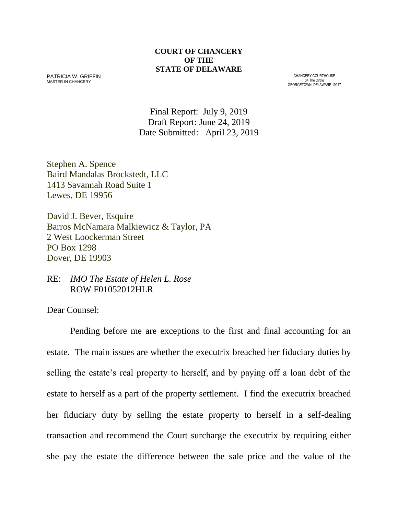### **COURT OF CHANCERY OF THE STATE OF DELAWARE**

PATRICIA W. GRIFFIN MASTER IN CHANCERY

CHANCERY COURTHOUSE 34 The Circle GEORGETOWN, DELAWARE 19947

Final Report: July 9, 2019 Draft Report: June 24, 2019 Date Submitted: April 23, 2019

Stephen A. Spence Baird Mandalas Brockstedt, LLC 1413 Savannah Road Suite 1 Lewes, DE 19956

David J. Bever, Esquire Barros McNamara Malkiewicz & Taylor, PA 2 West Loockerman Street PO Box 1298 Dover, DE 19903

RE: *IMO The Estate of Helen L. Rose* ROW F01052012HLR

Dear Counsel:

Pending before me are exceptions to the first and final accounting for an estate. The main issues are whether the executrix breached her fiduciary duties by selling the estate's real property to herself, and by paying off a loan debt of the estate to herself as a part of the property settlement. I find the executrix breached her fiduciary duty by selling the estate property to herself in a self-dealing transaction and recommend the Court surcharge the executrix by requiring either she pay the estate the difference between the sale price and the value of the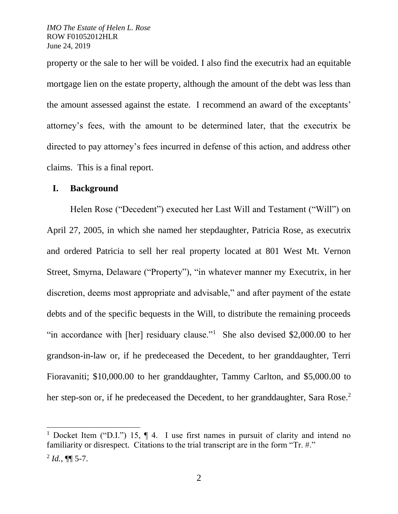property or the sale to her will be voided. I also find the executrix had an equitable mortgage lien on the estate property, although the amount of the debt was less than the amount assessed against the estate. I recommend an award of the exceptants' attorney's fees, with the amount to be determined later, that the executrix be directed to pay attorney's fees incurred in defense of this action, and address other claims. This is a final report.

### **I. Background**

Helen Rose ("Decedent") executed her Last Will and Testament ("Will") on April 27, 2005, in which she named her stepdaughter, Patricia Rose, as executrix and ordered Patricia to sell her real property located at 801 West Mt. Vernon Street, Smyrna, Delaware ("Property"), "in whatever manner my Executrix, in her discretion, deems most appropriate and advisable," and after payment of the estate debts and of the specific bequests in the Will, to distribute the remaining proceeds "in accordance with [her] residuary clause."<sup>1</sup> She also devised \$2,000.00 to her grandson-in-law or, if he predeceased the Decedent, to her granddaughter, Terri Fioravaniti; \$10,000.00 to her granddaughter, Tammy Carlton, and \$5,000.00 to her step-son or, if he predeceased the Decedent, to her granddaughter, Sara Rose.<sup>2</sup>

<sup>&</sup>lt;sup>1</sup> Docket Item ("D.I.") 15,  $\P$  4. I use first names in pursuit of clarity and intend no familiarity or disrespect. Citations to the trial transcript are in the form "Tr. #."

 $^{2}$  *Id.*, **¶** 5-7.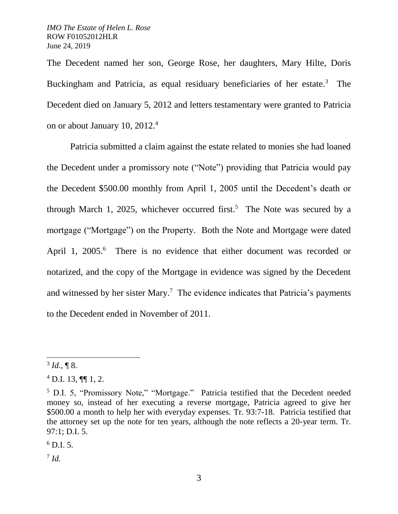The Decedent named her son, George Rose, her daughters, Mary Hilte, Doris Buckingham and Patricia, as equal residuary beneficiaries of her estate.<sup>3</sup> The Decedent died on January 5, 2012 and letters testamentary were granted to Patricia on or about January 10, 2012.<sup>4</sup>

Patricia submitted a claim against the estate related to monies she had loaned the Decedent under a promissory note ("Note") providing that Patricia would pay the Decedent \$500.00 monthly from April 1, 2005 until the Decedent's death or through March 1, 2025, whichever occurred first. 5 The Note was secured by a mortgage ("Mortgage") on the Property. Both the Note and Mortgage were dated April 1, 2005.<sup>6</sup> There is no evidence that either document was recorded or notarized, and the copy of the Mortgage in evidence was signed by the Decedent and witnessed by her sister Mary.<sup>7</sup> The evidence indicates that Patricia's payments to the Decedent ended in November of 2011.

 $\overline{a}$ 

 $^{6}$  D.I. 5.

7 *Id.*

 $3$  *Id.*, **[8.**]

 $4$  D.I. 13, ¶¶ 1, 2.

<sup>5</sup> D.I. 5, "Promissory Note," "Mortgage." Patricia testified that the Decedent needed money so, instead of her executing a reverse mortgage, Patricia agreed to give her \$500.00 a month to help her with everyday expenses. Tr. 93:7-18. Patricia testified that the attorney set up the note for ten years, although the note reflects a 20-year term. Tr. 97:1; D.I. 5.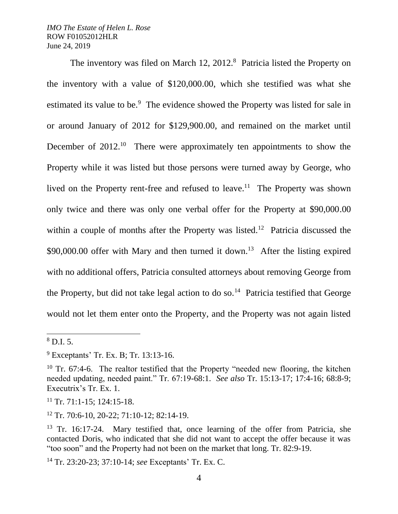The inventory was filed on March 12, 2012.<sup>8</sup> Patricia listed the Property on the inventory with a value of \$120,000.00, which she testified was what she estimated its value to be.<sup>9</sup> The evidence showed the Property was listed for sale in or around January of 2012 for \$129,900.00, and remained on the market until December of 2012.<sup>10</sup> There were approximately ten appointments to show the Property while it was listed but those persons were turned away by George, who lived on the Property rent-free and refused to leave.<sup>11</sup> The Property was shown only twice and there was only one verbal offer for the Property at \$90,000.00 within a couple of months after the Property was listed.<sup>12</sup> Patricia discussed the \$90,000.00 offer with Mary and then turned it down.<sup>13</sup> After the listing expired with no additional offers, Patricia consulted attorneys about removing George from the Property, but did not take legal action to do so.<sup>14</sup> Patricia testified that George would not let them enter onto the Property, and the Property was not again listed

l

 $8$  D.I. 5.

<sup>9</sup> Exceptants' Tr. Ex. B; Tr. 13:13-16.

<sup>&</sup>lt;sup>10</sup> Tr. 67:4-6. The realtor testified that the Property "needed new flooring, the kitchen needed updating, needed paint." Tr. 67:19-68:1. *See also* Tr. 15:13-17; 17:4-16; 68:8-9; Executrix's Tr. Ex. 1.

 $11$  Tr. 71:1-15; 124:15-18.

 $12$  Tr. 70:6-10, 20-22; 71:10-12; 82:14-19.

<sup>&</sup>lt;sup>13</sup> Tr. 16:17-24. Mary testified that, once learning of the offer from Patricia, she contacted Doris, who indicated that she did not want to accept the offer because it was "too soon" and the Property had not been on the market that long. Tr. 82:9-19.

<sup>14</sup> Tr. 23:20-23; 37:10-14; *see* Exceptants' Tr. Ex. C.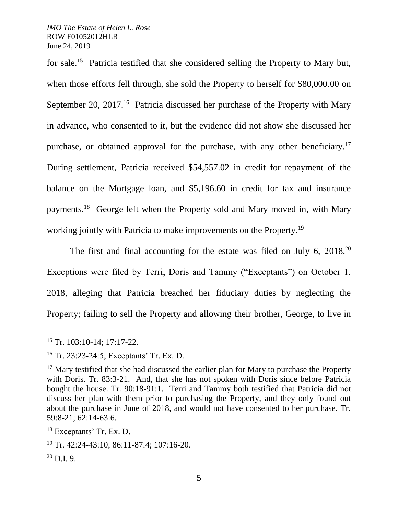for sale.<sup>15</sup> Patricia testified that she considered selling the Property to Mary but, when those efforts fell through, she sold the Property to herself for \$80,000.00 on September 20, 2017.<sup>16</sup> Patricia discussed her purchase of the Property with Mary in advance, who consented to it, but the evidence did not show she discussed her purchase, or obtained approval for the purchase, with any other beneficiary.<sup>17</sup> During settlement, Patricia received \$54,557.02 in credit for repayment of the balance on the Mortgage loan, and \$5,196.60 in credit for tax and insurance payments.<sup>18</sup> George left when the Property sold and Mary moved in, with Mary working jointly with Patricia to make improvements on the Property.<sup>19</sup>

The first and final accounting for the estate was filed on July 6, 2018.<sup>20</sup> Exceptions were filed by Terri, Doris and Tammy ("Exceptants") on October 1, 2018, alleging that Patricia breached her fiduciary duties by neglecting the Property; failing to sell the Property and allowing their brother, George, to live in

l

<sup>15</sup> Tr. 103:10-14; 17:17-22.

<sup>16</sup> Tr. 23:23-24:5; Exceptants' Tr. Ex. D.

 $17$  Mary testified that she had discussed the earlier plan for Mary to purchase the Property with Doris. Tr. 83:3-21. And, that she has not spoken with Doris since before Patricia bought the house. Tr. 90:18-91:1. Terri and Tammy both testified that Patricia did not discuss her plan with them prior to purchasing the Property, and they only found out about the purchase in June of 2018, and would not have consented to her purchase. Tr. 59:8-21; 62:14-63:6.

<sup>18</sup> Exceptants' Tr. Ex. D.

<sup>19</sup> Tr. 42:24-43:10; 86:11-87:4; 107:16-20.

 $^{20}$  D.I. 9.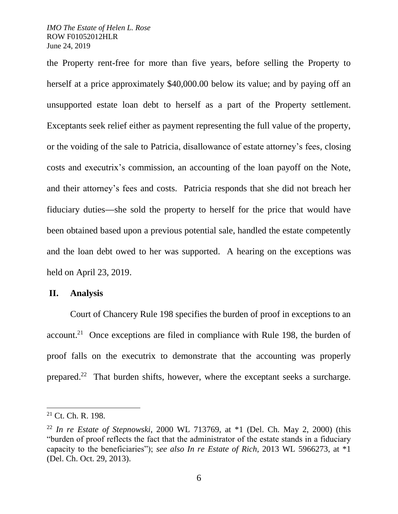the Property rent-free for more than five years, before selling the Property to herself at a price approximately \$40,000.00 below its value; and by paying off an unsupported estate loan debt to herself as a part of the Property settlement. Exceptants seek relief either as payment representing the full value of the property, or the voiding of the sale to Patricia, disallowance of estate attorney's fees, closing costs and executrix's commission, an accounting of the loan payoff on the Note, and their attorney's fees and costs. Patricia responds that she did not breach her fiduciary duties—she sold the property to herself for the price that would have been obtained based upon a previous potential sale, handled the estate competently and the loan debt owed to her was supported. A hearing on the exceptions was held on April 23, 2019.

### **II. Analysis**

Court of Chancery Rule 198 specifies the burden of proof in exceptions to an  $account.<sup>21</sup>$  Once exceptions are filed in compliance with Rule 198, the burden of proof falls on the executrix to demonstrate that the accounting was properly prepared.<sup>22</sup> That burden shifts, however, where the exceptant seeks a surcharge.

<sup>21</sup> Ct. Ch. R. 198.

<sup>22</sup> *In re Estate of Stepnowski*, 2000 WL 713769, at \*1 (Del. Ch. May 2, 2000) (this "burden of proof reflects the fact that the administrator of the estate stands in a fiduciary capacity to the beneficiaries"); *see also In re Estate of Rich*, 2013 WL 5966273, at \*1 (Del. Ch. Oct. 29, 2013).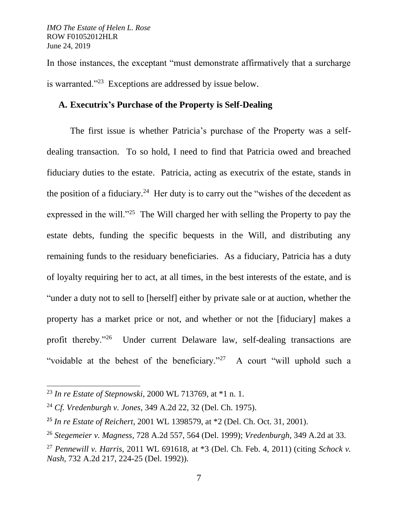In those instances, the exceptant "must demonstrate affirmatively that a surcharge is warranted."<sup>23</sup> Exceptions are addressed by issue below.

# **A. Executrix's Purchase of the Property is Self-Dealing**

The first issue is whether Patricia's purchase of the Property was a selfdealing transaction. To so hold, I need to find that Patricia owed and breached fiduciary duties to the estate. Patricia, acting as executrix of the estate, stands in the position of a fiduciary.<sup>24</sup> Her duty is to carry out the "wishes of the decedent as expressed in the will. $125$  The Will charged her with selling the Property to pay the estate debts, funding the specific bequests in the Will, and distributing any remaining funds to the residuary beneficiaries. As a fiduciary, Patricia has a duty of loyalty requiring her to act, at all times, in the best interests of the estate, and is "under a duty not to sell to [herself] either by private sale or at auction, whether the property has a market price or not, and whether or not the [fiduciary] makes a profit thereby."<sup>26</sup> Under current Delaware law, self-dealing transactions are "voidable at the behest of the beneficiary."<sup>27</sup> A court "will uphold such a

<sup>23</sup> *In re Estate of Stepnowski*, 2000 WL 713769, at \*1 n. 1.

<sup>24</sup> *Cf. Vredenburgh v. Jones*, 349 A.2d 22, 32 (Del. Ch. 1975).

<sup>25</sup> *In re Estate of Reichert*, 2001 WL 1398579, at \*2 (Del. Ch. Oct. 31, 2001).

<sup>26</sup> *Stegemeier v. Magness*, 728 A.2d 557, 564 (Del. 1999); *Vredenburgh*, 349 A.2d at 33.

<sup>27</sup> *Pennewill v. Harris*, 2011 WL 691618, at \*3 (Del. Ch. Feb. 4, 2011) (citing *Schock v. Nash,* 732 A.2d 217, 224-25 (Del. 1992)).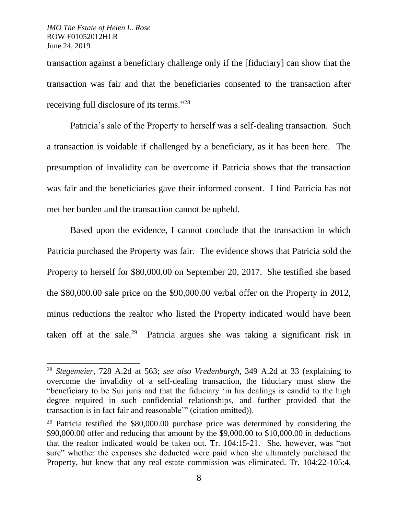$\overline{a}$ 

transaction against a beneficiary challenge only if the [fiduciary] can show that the transaction was fair and that the beneficiaries consented to the transaction after receiving full disclosure of its terms."<sup>28</sup>

Patricia's sale of the Property to herself was a self-dealing transaction. Such a transaction is voidable if challenged by a beneficiary, as it has been here. The presumption of invalidity can be overcome if Patricia shows that the transaction was fair and the beneficiaries gave their informed consent. I find Patricia has not met her burden and the transaction cannot be upheld.

Based upon the evidence, I cannot conclude that the transaction in which Patricia purchased the Property was fair. The evidence shows that Patricia sold the Property to herself for \$80,000.00 on September 20, 2017. She testified she based the \$80,000.00 sale price on the \$90,000.00 verbal offer on the Property in 2012, minus reductions the realtor who listed the Property indicated would have been taken off at the sale.<sup>29</sup> Patricia argues she was taking a significant risk in

<sup>28</sup> *Stegemeier*, 728 A.2d at 563; *see also Vredenburgh*, 349 A.2d at 33 (explaining to overcome the invalidity of a self-dealing transaction, the fiduciary must show the "beneficiary to be Sui juris and that the fiduciary 'in his dealings is candid to the high degree required in such confidential relationships, and further provided that the transaction is in fact fair and reasonable'" (citation omitted)).

<sup>&</sup>lt;sup>29</sup> Patricia testified the  $$80,000.00$  purchase price was determined by considering the \$90,000.00 offer and reducing that amount by the \$9,000.00 to \$10,000.00 in deductions that the realtor indicated would be taken out. Tr. 104:15-21. She, however, was "not sure" whether the expenses she deducted were paid when she ultimately purchased the Property, but knew that any real estate commission was eliminated. Tr. 104:22-105:4.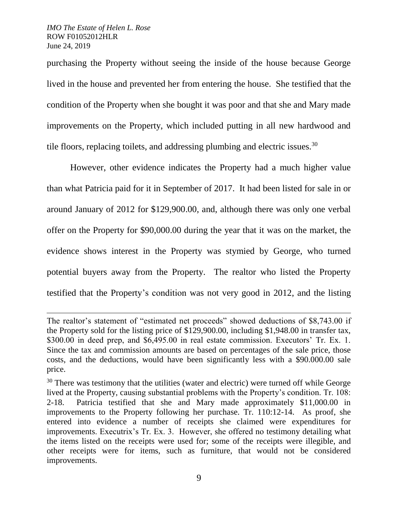l

purchasing the Property without seeing the inside of the house because George lived in the house and prevented her from entering the house. She testified that the condition of the Property when she bought it was poor and that she and Mary made improvements on the Property, which included putting in all new hardwood and tile floors, replacing toilets, and addressing plumbing and electric issues.<sup>30</sup>

However, other evidence indicates the Property had a much higher value than what Patricia paid for it in September of 2017. It had been listed for sale in or around January of 2012 for \$129,900.00, and, although there was only one verbal offer on the Property for \$90,000.00 during the year that it was on the market, the evidence shows interest in the Property was stymied by George, who turned potential buyers away from the Property. The realtor who listed the Property testified that the Property's condition was not very good in 2012, and the listing

The realtor's statement of "estimated net proceeds" showed deductions of \$8,743.00 if the Property sold for the listing price of \$129,900.00, including \$1,948.00 in transfer tax, \$300.00 in deed prep, and \$6,495.00 in real estate commission. Executors' Tr. Ex. 1. Since the tax and commission amounts are based on percentages of the sale price, those costs, and the deductions, would have been significantly less with a \$90.000.00 sale price.

 $30$  There was testimony that the utilities (water and electric) were turned off while George lived at the Property, causing substantial problems with the Property's condition. Tr. 108: 2-18. Patricia testified that she and Mary made approximately \$11,000.00 in improvements to the Property following her purchase. Tr. 110:12-14. As proof, she entered into evidence a number of receipts she claimed were expenditures for improvements. Executrix's Tr. Ex. 3. However, she offered no testimony detailing what the items listed on the receipts were used for; some of the receipts were illegible, and other receipts were for items, such as furniture, that would not be considered improvements.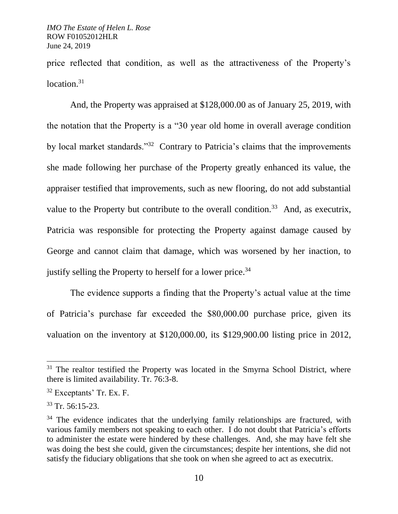price reflected that condition, as well as the attractiveness of the Property's location. $31$ 

And, the Property was appraised at \$128,000.00 as of January 25, 2019, with the notation that the Property is a "30 year old home in overall average condition by local market standards."<sup>32</sup> Contrary to Patricia's claims that the improvements she made following her purchase of the Property greatly enhanced its value, the appraiser testified that improvements, such as new flooring, do not add substantial value to the Property but contribute to the overall condition.<sup>33</sup> And, as executrix, Patricia was responsible for protecting the Property against damage caused by George and cannot claim that damage, which was worsened by her inaction, to justify selling the Property to herself for a lower price.<sup>34</sup>

The evidence supports a finding that the Property's actual value at the time of Patricia's purchase far exceeded the \$80,000.00 purchase price, given its valuation on the inventory at \$120,000.00, its \$129,900.00 listing price in 2012,

<sup>&</sup>lt;sup>31</sup> The realtor testified the Property was located in the Smyrna School District, where there is limited availability. Tr. 76:3-8.

<sup>32</sup> Exceptants' Tr. Ex. F.

 $33$  Tr. 56:15-23.

 $34$  The evidence indicates that the underlying family relationships are fractured, with various family members not speaking to each other. I do not doubt that Patricia's efforts to administer the estate were hindered by these challenges. And, she may have felt she was doing the best she could, given the circumstances; despite her intentions, she did not satisfy the fiduciary obligations that she took on when she agreed to act as executrix.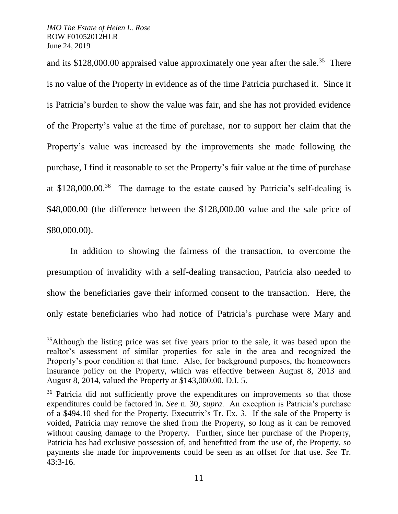l

and its  $$128,000.00$  appraised value approximately one year after the sale.<sup>35</sup> There is no value of the Property in evidence as of the time Patricia purchased it. Since it is Patricia's burden to show the value was fair, and she has not provided evidence of the Property's value at the time of purchase, nor to support her claim that the Property's value was increased by the improvements she made following the purchase, I find it reasonable to set the Property's fair value at the time of purchase at \$128,000.00. <sup>36</sup> The damage to the estate caused by Patricia's self-dealing is \$48,000.00 (the difference between the \$128,000.00 value and the sale price of \$80,000.00).

In addition to showing the fairness of the transaction, to overcome the presumption of invalidity with a self-dealing transaction, Patricia also needed to show the beneficiaries gave their informed consent to the transaction. Here, the only estate beneficiaries who had notice of Patricia's purchase were Mary and

<sup>&</sup>lt;sup>35</sup>Although the listing price was set five years prior to the sale, it was based upon the realtor's assessment of similar properties for sale in the area and recognized the Property's poor condition at that time. Also, for background purposes, the homeowners insurance policy on the Property, which was effective between August 8, 2013 and August 8, 2014, valued the Property at \$143,000.00. D.I. 5.

<sup>&</sup>lt;sup>36</sup> Patricia did not sufficiently prove the expenditures on improvements so that those expenditures could be factored in. *See* n. 30, *supra*. An exception is Patricia's purchase of a \$494.10 shed for the Property. Executrix's Tr. Ex. 3. If the sale of the Property is voided, Patricia may remove the shed from the Property, so long as it can be removed without causing damage to the Property. Further, since her purchase of the Property, Patricia has had exclusive possession of, and benefitted from the use of, the Property, so payments she made for improvements could be seen as an offset for that use. *See* Tr. 43:3-16.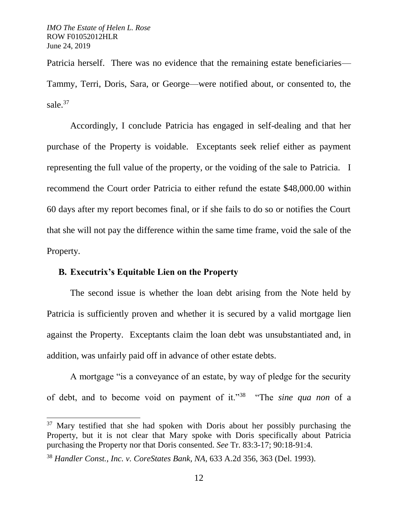$\overline{a}$ 

Patricia herself. There was no evidence that the remaining estate beneficiaries— Tammy, Terri, Doris, Sara, or George—were notified about, or consented to, the sale.<sup>37</sup>

Accordingly, I conclude Patricia has engaged in self-dealing and that her purchase of the Property is voidable. Exceptants seek relief either as payment representing the full value of the property, or the voiding of the sale to Patricia. I recommend the Court order Patricia to either refund the estate \$48,000.00 within 60 days after my report becomes final, or if she fails to do so or notifies the Court that she will not pay the difference within the same time frame, void the sale of the Property.

### **B. Executrix's Equitable Lien on the Property**

The second issue is whether the loan debt arising from the Note held by Patricia is sufficiently proven and whether it is secured by a valid mortgage lien against the Property. Exceptants claim the loan debt was unsubstantiated and, in addition, was unfairly paid off in advance of other estate debts.

A mortgage "is a conveyance of an estate, by way of pledge for the security of debt, and to become void on payment of it."<sup>38</sup> "The *sine qua non* of a

<sup>37</sup> Mary testified that she had spoken with Doris about her possibly purchasing the Property, but it is not clear that Mary spoke with Doris specifically about Patricia purchasing the Property nor that Doris consented. *See* Tr. 83:3-17; 90:18-91:4.

<sup>38</sup> *Handler Const., Inc. v. CoreStates Bank, NA*, 633 A.2d 356, 363 (Del. 1993).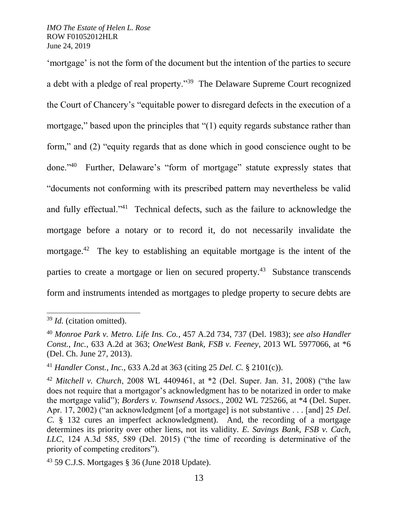'mortgage' is not the form of the document but the intention of the parties to secure a debt with a pledge of real property."<sup>39</sup> The Delaware Supreme Court recognized the Court of Chancery's "equitable power to disregard defects in the execution of a mortgage," based upon the principles that "(1) equity regards substance rather than form," and (2) "equity regards that as done which in good conscience ought to be done." $40$  Further, Delaware's "form of mortgage" statute expressly states that "documents not conforming with its prescribed pattern may nevertheless be valid and fully effectual."<sup>41</sup> Technical defects, such as the failure to acknowledge the mortgage before a notary or to record it, do not necessarily invalidate the mortgage.<sup>42</sup> The key to establishing an equitable mortgage is the intent of the parties to create a mortgage or lien on secured property.<sup>43</sup> Substance transcends form and instruments intended as mortgages to pledge property to secure debts are

l

<sup>39</sup> *Id.* (citation omitted).

<sup>40</sup> *Monroe Park v. Metro. Life Ins. Co.*, 457 A.2d 734, 737 (Del. 1983); *see also Handler Const., Inc.*, 633 A.2d at 363; *OneWest Bank, FSB v. Feeney*, 2013 WL 5977066, at \*6 (Del. Ch. June 27, 2013).

<sup>41</sup> *Handler Const., Inc.*, 633 A.2d at 363 (citing 25 *Del. C.* § 2101(c)).

<sup>42</sup> *Mitchell v. Church*, 2008 WL 4409461, at \*2 (Del. Super. Jan. 31, 2008) ("the law does not require that a mortgagor's acknowledgment has to be notarized in order to make the mortgage valid"); *Borders v. Townsend Assocs.*, 2002 WL 725266, at \*4 (Del. Super. Apr. 17, 2002) ("an acknowledgment [of a mortgage] is not substantive . . . [and] 25 *Del. C.* § 132 cures an imperfect acknowledgment). And, the recording of a mortgage determines its priority over other liens, not its validity. *E. Savings Bank, FSB v. Cach, LLC*, 124 A.3d 585, 589 (Del. 2015) ("the time of recording is determinative of the priority of competing creditors").

 $43$  59 C.J.S. Mortgages § 36 (June 2018 Update).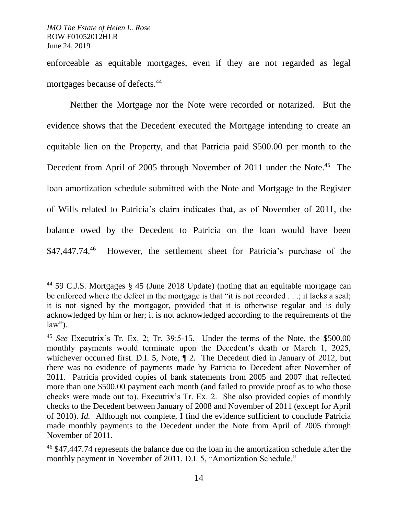l

enforceable as equitable mortgages, even if they are not regarded as legal mortgages because of defects.<sup>44</sup>

Neither the Mortgage nor the Note were recorded or notarized. But the evidence shows that the Decedent executed the Mortgage intending to create an equitable lien on the Property, and that Patricia paid \$500.00 per month to the Decedent from April of 2005 through November of 2011 under the Note.<sup>45</sup> The loan amortization schedule submitted with the Note and Mortgage to the Register of Wills related to Patricia's claim indicates that, as of November of 2011, the balance owed by the Decedent to Patricia on the loan would have been \$47,447.74. 46 However, the settlement sheet for Patricia's purchase of the

<sup>44</sup> 59 C.J.S. Mortgages § 45 (June 2018 Update) (noting that an equitable mortgage can be enforced where the defect in the mortgage is that "it is not recorded . . .; it lacks a seal; it is not signed by the mortgagor, provided that it is otherwise regular and is duly acknowledged by him or her; it is not acknowledged according to the requirements of the law").

<sup>45</sup> *See* Executrix's Tr. Ex. 2; Tr. 39:5-15. Under the terms of the Note, the \$500.00 monthly payments would terminate upon the Decedent's death or March 1, 2025, whichever occurred first. D.I. 5, Note,  $\P$  2. The Decedent died in January of 2012, but there was no evidence of payments made by Patricia to Decedent after November of 2011. Patricia provided copies of bank statements from 2005 and 2007 that reflected more than one \$500.00 payment each month (and failed to provide proof as to who those checks were made out to). Executrix's Tr. Ex. 2. She also provided copies of monthly checks to the Decedent between January of 2008 and November of 2011 (except for April of 2010). *Id.* Although not complete, I find the evidence sufficient to conclude Patricia made monthly payments to the Decedent under the Note from April of 2005 through November of 2011.

<sup>46</sup> \$47,447.74 represents the balance due on the loan in the amortization schedule after the monthly payment in November of 2011. D.I. 5, "Amortization Schedule."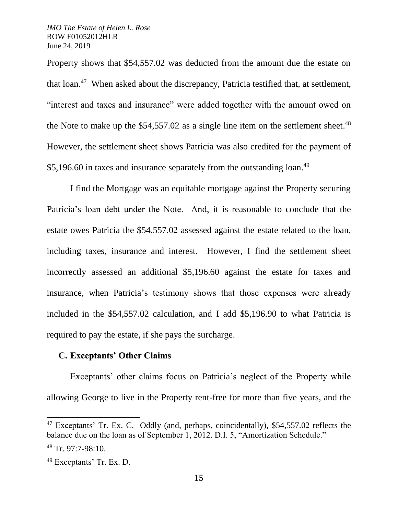Property shows that \$54,557.02 was deducted from the amount due the estate on that loan.<sup>47</sup> When asked about the discrepancy, Patricia testified that, at settlement, "interest and taxes and insurance" were added together with the amount owed on the Note to make up the \$54,557.02 as a single line item on the settlement sheet.<sup>48</sup> However, the settlement sheet shows Patricia was also credited for the payment of \$5,196.60 in taxes and insurance separately from the outstanding loan.<sup>49</sup>

I find the Mortgage was an equitable mortgage against the Property securing Patricia's loan debt under the Note. And, it is reasonable to conclude that the estate owes Patricia the \$54,557.02 assessed against the estate related to the loan, including taxes, insurance and interest. However, I find the settlement sheet incorrectly assessed an additional \$5,196.60 against the estate for taxes and insurance, when Patricia's testimony shows that those expenses were already included in the \$54,557.02 calculation, and I add \$5,196.90 to what Patricia is required to pay the estate, if she pays the surcharge.

## **C. Exceptants' Other Claims**

Exceptants' other claims focus on Patricia's neglect of the Property while allowing George to live in the Property rent-free for more than five years, and the

<sup>&</sup>lt;sup>47</sup> Exceptants' Tr. Ex. C. Oddly (and, perhaps, coincidentally), \$54,557.02 reflects the balance due on the loan as of September 1, 2012. D.I. 5, "Amortization Schedule."  $48$  Tr. 97:7-98:10.

<sup>49</sup> Exceptants' Tr. Ex. D.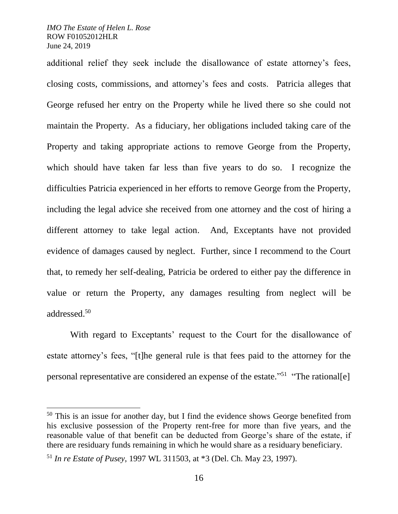$\overline{a}$ 

additional relief they seek include the disallowance of estate attorney's fees, closing costs, commissions, and attorney's fees and costs. Patricia alleges that George refused her entry on the Property while he lived there so she could not maintain the Property. As a fiduciary, her obligations included taking care of the Property and taking appropriate actions to remove George from the Property, which should have taken far less than five years to do so. I recognize the difficulties Patricia experienced in her efforts to remove George from the Property, including the legal advice she received from one attorney and the cost of hiring a different attorney to take legal action. And, Exceptants have not provided evidence of damages caused by neglect. Further, since I recommend to the Court that, to remedy her self-dealing, Patricia be ordered to either pay the difference in value or return the Property, any damages resulting from neglect will be addressed.<sup>50</sup>

With regard to Exceptants' request to the Court for the disallowance of estate attorney's fees, "[t]he general rule is that fees paid to the attorney for the personal representative are considered an expense of the estate."<sup>51</sup> "The rational[e]

 $50$  This is an issue for another day, but I find the evidence shows George benefited from his exclusive possession of the Property rent-free for more than five years, and the reasonable value of that benefit can be deducted from George's share of the estate, if there are residuary funds remaining in which he would share as a residuary beneficiary.

<sup>51</sup> *In re Estate of Pusey*, 1997 WL 311503, at \*3 (Del. Ch. May 23, 1997).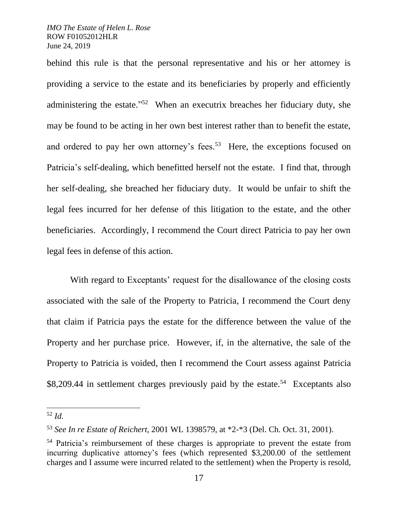behind this rule is that the personal representative and his or her attorney is providing a service to the estate and its beneficiaries by properly and efficiently administering the estate."<sup>52</sup> When an executrix breaches her fiduciary duty, she may be found to be acting in her own best interest rather than to benefit the estate, and ordered to pay her own attorney's fees.<sup>53</sup> Here, the exceptions focused on Patricia's self-dealing, which benefitted herself not the estate. I find that, through her self-dealing, she breached her fiduciary duty. It would be unfair to shift the legal fees incurred for her defense of this litigation to the estate, and the other beneficiaries. Accordingly, I recommend the Court direct Patricia to pay her own legal fees in defense of this action.

With regard to Exceptants' request for the disallowance of the closing costs associated with the sale of the Property to Patricia, I recommend the Court deny that claim if Patricia pays the estate for the difference between the value of the Property and her purchase price. However, if, in the alternative, the sale of the Property to Patricia is voided, then I recommend the Court assess against Patricia \$8,209.44 in settlement charges previously paid by the estate.<sup>54</sup> Exceptants also

<sup>52</sup> *Id.*

<sup>53</sup> *See In re Estate of Reichert*, 2001 WL 1398579, at \*2-\*3 (Del. Ch. Oct. 31, 2001).

<sup>54</sup> Patricia's reimbursement of these charges is appropriate to prevent the estate from incurring duplicative attorney's fees (which represented \$3,200.00 of the settlement charges and I assume were incurred related to the settlement) when the Property is resold,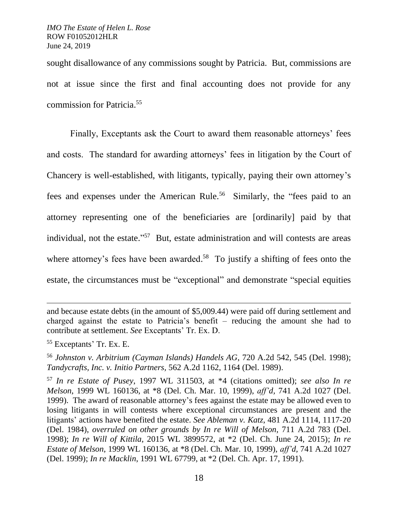sought disallowance of any commissions sought by Patricia. But, commissions are not at issue since the first and final accounting does not provide for any commission for Patricia.<sup>55</sup>

Finally, Exceptants ask the Court to award them reasonable attorneys' fees and costs. The standard for awarding attorneys' fees in litigation by the Court of Chancery is well-established, with litigants, typically, paying their own attorney's fees and expenses under the American Rule.<sup>56</sup> Similarly, the "fees paid to an attorney representing one of the beneficiaries are [ordinarily] paid by that individual, not the estate."<sup>57</sup> But, estate administration and will contests are areas where attorney's fees have been awarded.<sup>58</sup> To justify a shifting of fees onto the estate, the circumstances must be "exceptional" and demonstrate "special equities

and because estate debts (in the amount of \$5,009.44) were paid off during settlement and charged against the estate to Patricia's benefit – reducing the amount she had to contribute at settlement. *See* Exceptants' Tr. Ex. D.

<sup>55</sup> Exceptants' Tr. Ex. E.

<sup>56</sup> *Johnston v. Arbitrium (Cayman Islands) Handels AG*, 720 A.2d 542, 545 (Del. 1998); *Tandycrafts, Inc. v. Initio Partners,* 562 A.2d 1162, 1164 (Del. 1989).

<sup>57</sup> *In re Estate of Pusey*, 1997 WL 311503, at \*4 (citations omitted); *see also In re Melson*, 1999 WL 160136, at \*8 (Del. Ch. Mar. 10, 1999), *aff'd,* 741 A.2d 1027 (Del. 1999). The award of reasonable attorney's fees against the estate may be allowed even to losing litigants in will contests where exceptional circumstances are present and the litigants' actions have benefited the estate. *See Ableman v. Katz*, 481 A.2d 1114, 1117-20 (Del. 1984), *overruled on other grounds by In re Will of Melson*, 711 A.2d 783 (Del. 1998); *In re Will of Kittila*, 2015 WL 3899572, at \*2 (Del. Ch. June 24, 2015); *In re Estate of Melson*, 1999 WL 160136, at \*8 (Del. Ch. Mar. 10, 1999), *aff'd,* 741 A.2d 1027 (Del. 1999); *In re Macklin*, 1991 WL 67799, at \*2 (Del. Ch. Apr. 17, 1991).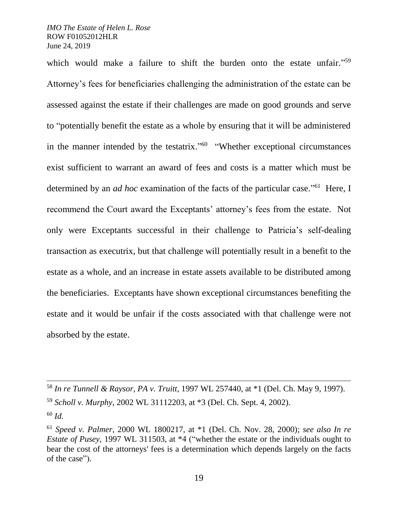l

which would make a failure to shift the burden onto the estate unfair."<sup>59</sup> Attorney's fees for beneficiaries challenging the administration of the estate can be assessed against the estate if their challenges are made on good grounds and serve to "potentially benefit the estate as a whole by ensuring that it will be administered in the manner intended by the testatrix."<sup>60</sup> "Whether exceptional circumstances exist sufficient to warrant an award of fees and costs is a matter which must be determined by an *ad hoc* examination of the facts of the particular case."<sup>61</sup> Here, I recommend the Court award the Exceptants' attorney's fees from the estate. Not only were Exceptants successful in their challenge to Patricia's self-dealing transaction as executrix, but that challenge will potentially result in a benefit to the estate as a whole, and an increase in estate assets available to be distributed among the beneficiaries. Exceptants have shown exceptional circumstances benefiting the estate and it would be unfair if the costs associated with that challenge were not absorbed by the estate.

<sup>58</sup> *In re Tunnell & Raysor, PA v. Truitt*, 1997 WL 257440, at \*1 (Del. Ch. May 9, 1997). <sup>59</sup> *Scholl v. Murphy*, 2002 WL 31112203, at \*3 (Del. Ch. Sept. 4, 2002). <sup>60</sup> *Id.*

<sup>61</sup> *Speed v. Palmer*, 2000 WL 1800217, at \*1 (Del. Ch. Nov. 28, 2000); *see also In re Estate of Pusey*, 1997 WL 311503, at \*4 ("whether the estate or the individuals ought to bear the cost of the attorneys' fees is a determination which depends largely on the facts of the case").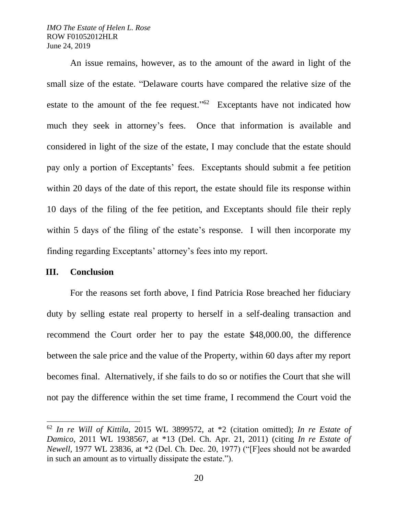An issue remains, however, as to the amount of the award in light of the small size of the estate. "Delaware courts have compared the relative size of the estate to the amount of the fee request." $62$  Exceptants have not indicated how much they seek in attorney's fees. Once that information is available and considered in light of the size of the estate, I may conclude that the estate should pay only a portion of Exceptants' fees. Exceptants should submit a fee petition within 20 days of the date of this report, the estate should file its response within 10 days of the filing of the fee petition, and Exceptants should file their reply within 5 days of the filing of the estate's response. I will then incorporate my finding regarding Exceptants' attorney's fees into my report.

### **III. Conclusion**

 $\overline{a}$ 

For the reasons set forth above, I find Patricia Rose breached her fiduciary duty by selling estate real property to herself in a self-dealing transaction and recommend the Court order her to pay the estate \$48,000.00, the difference between the sale price and the value of the Property, within 60 days after my report becomes final. Alternatively, if she fails to do so or notifies the Court that she will not pay the difference within the set time frame, I recommend the Court void the

<sup>62</sup> *In re Will of Kittila*, 2015 WL 3899572, at \*2 (citation omitted); *In re Estate of Damico*, 2011 WL 1938567, at \*13 (Del. Ch. Apr. 21, 2011) (citing *In re Estate of Newell,* 1977 WL 23836, at \*2 (Del. Ch. Dec. 20, 1977) ("[F]ees should not be awarded in such an amount as to virtually dissipate the estate.").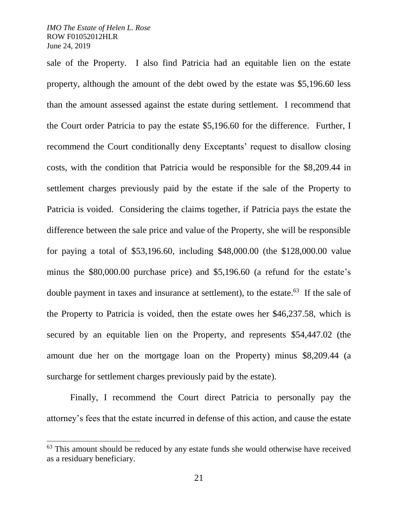$\overline{a}$ 

sale of the Property. I also find Patricia had an equitable lien on the estate property, although the amount of the debt owed by the estate was \$5,196.60 less than the amount assessed against the estate during settlement. I recommend that the Court order Patricia to pay the estate \$5,196.60 for the difference. Further, I recommend the Court conditionally deny Exceptants' request to disallow closing costs, with the condition that Patricia would be responsible for the \$8,209.44 in settlement charges previously paid by the estate if the sale of the Property to Patricia is voided. Considering the claims together, if Patricia pays the estate the difference between the sale price and value of the Property, she will be responsible for paying a total of \$53,196.60, including \$48,000.00 (the \$128,000.00 value minus the \$80,000.00 purchase price) and \$5,196.60 (a refund for the estate's double payment in taxes and insurance at settlement), to the estate.<sup>63</sup> If the sale of the Property to Patricia is voided, then the estate owes her \$46,237.58, which is secured by an equitable lien on the Property, and represents \$54,447.02 (the amount due her on the mortgage loan on the Property) minus \$8,209.44 (a surcharge for settlement charges previously paid by the estate).

Finally, I recommend the Court direct Patricia to personally pay the attorney's fees that the estate incurred in defense of this action, and cause the estate

<sup>&</sup>lt;sup>63</sup> This amount should be reduced by any estate funds she would otherwise have received as a residuary beneficiary.